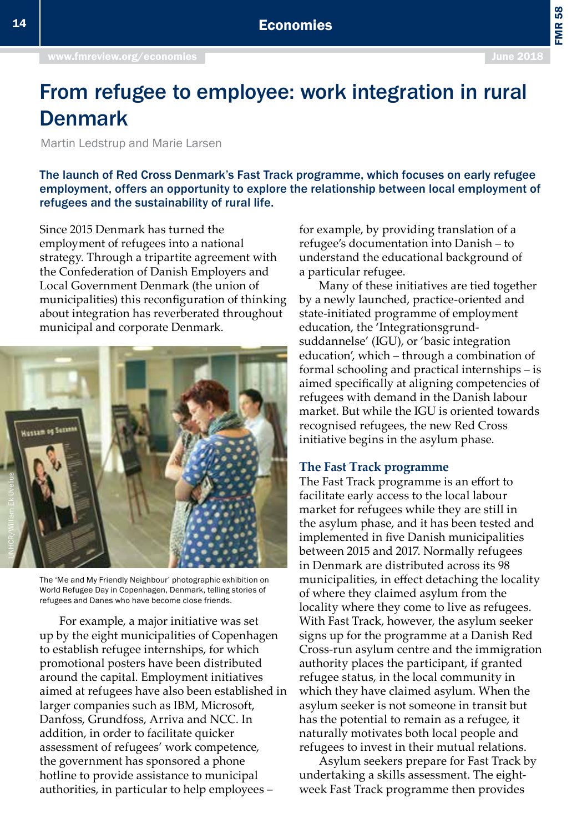FMR 58

# From refugee to employee: work integration in rural Denmark

Martin Ledstrup and Marie Larsen

The launch of Red Cross Denmark's Fast Track programme, which focuses on early refugee employment, offers an opportunity to explore the relationship between local employment of refugees and the sustainability of rural life.

Since 2015 Denmark has turned the employment of refugees into a national strategy. Through a tripartite agreement with the Confederation of Danish Employers and Local Government Denmark (the union of municipalities) this reconfiguration of thinking about integration has reverberated throughout municipal and corporate Denmark.



The 'Me and My Friendly Neighbour' photographic exhibition on World Refugee Day in Copenhagen, Denmark, telling stories of refugees and Danes who have become close friends.

For example, a major initiative was set up by the eight municipalities of Copenhagen to establish refugee internships, for which promotional posters have been distributed around the capital. Employment initiatives aimed at refugees have also been established in larger companies such as IBM, Microsoft, Danfoss, Grundfoss, Arriva and NCC. In addition, in order to facilitate quicker assessment of refugees' work competence, the government has sponsored a phone hotline to provide assistance to municipal authorities, in particular to help employees –

for example, by providing translation of a refugee's documentation into Danish – to understand the educational background of a particular refugee.

Many of these initiatives are tied together by a newly launched, practice-oriented and state-initiated programme of employment education, the 'Integrationsgrundsuddannelse' (IGU), or 'basic integration education', which – through a combination of formal schooling and practical internships – is aimed specifically at aligning competencies of refugees with demand in the Danish labour market. But while the IGU is oriented towards recognised refugees, the new Red Cross initiative begins in the asylum phase.

#### **The Fast Track programme**

The Fast Track programme is an effort to facilitate early access to the local labour market for refugees while they are still in the asylum phase, and it has been tested and implemented in five Danish municipalities between 2015 and 2017. Normally refugees in Denmark are distributed across its 98 municipalities, in effect detaching the locality of where they claimed asylum from the locality where they come to live as refugees. With Fast Track, however, the asylum seeker signs up for the programme at a Danish Red Cross-run asylum centre and the immigration authority places the participant, if granted refugee status, in the local community in which they have claimed asylum. When the asylum seeker is not someone in transit but has the potential to remain as a refugee, it naturally motivates both local people and refugees to invest in their mutual relations.

Asylum seekers prepare for Fast Track by undertaking a skills assessment. The eightweek Fast Track programme then provides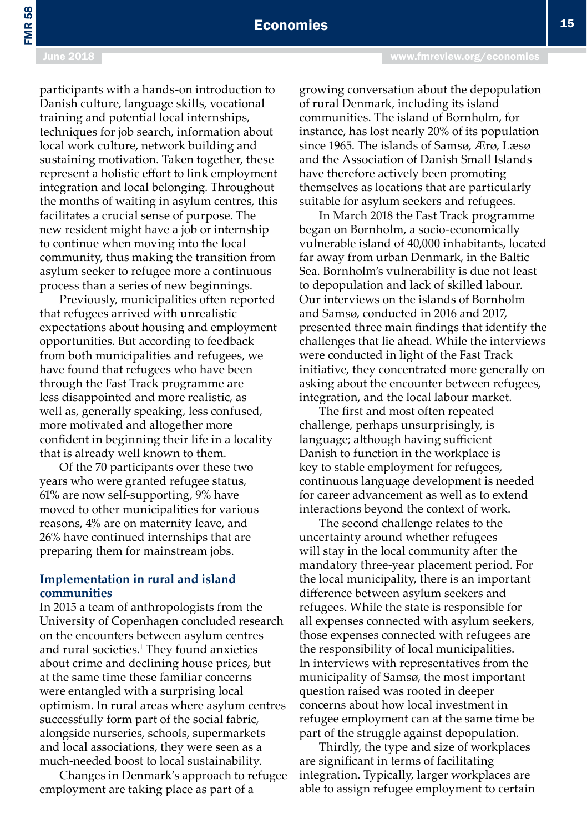# Economies

participants with a hands-on introduction to Danish culture, language skills, vocational training and potential local internships, techniques for job search, information about local work culture, network building and sustaining motivation. Taken together, these represent a holistic effort to link employment integration and local belonging. Throughout the months of waiting in asylum centres, this facilitates a crucial sense of purpose. The new resident might have a job or internship to continue when moving into the local community, thus making the transition from asylum seeker to refugee more a continuous process than a series of new beginnings.

Previously, municipalities often reported that refugees arrived with unrealistic expectations about housing and employment opportunities. But according to feedback from both municipalities and refugees, we have found that refugees who have been through the Fast Track programme are less disappointed and more realistic, as well as, generally speaking, less confused, more motivated and altogether more confident in beginning their life in a locality that is already well known to them.

Of the 70 participants over these two years who were granted refugee status, 61% are now self-supporting, 9% have moved to other municipalities for various reasons, 4% are on maternity leave, and 26% have continued internships that are preparing them for mainstream jobs.

#### **Implementation in rural and island communities**

In 2015 a team of anthropologists from the University of Copenhagen concluded research on the encounters between asylum centres and rural societies.1 They found anxieties about crime and declining house prices, but at the same time these familiar concerns were entangled with a surprising local optimism. In rural areas where asylum centres successfully form part of the social fabric, alongside nurseries, schools, supermarkets and local associations, they were seen as a much-needed boost to local sustainability.

Changes in Denmark's approach to refugee employment are taking place as part of a

growing conversation about the depopulation of rural Denmark, including its island communities. The island of Bornholm, for instance, has lost nearly 20% of its population since 1965. The islands of Samsø, Ærø, Læsø and the Association of Danish Small Islands have therefore actively been promoting themselves as locations that are particularly suitable for asylum seekers and refugees.

In March 2018 the Fast Track programme began on Bornholm, a socio-economically vulnerable island of 40,000 inhabitants, located far away from urban Denmark, in the Baltic Sea. Bornholm's vulnerability is due not least to depopulation and lack of skilled labour. Our interviews on the islands of Bornholm and Samsø, conducted in 2016 and 2017, presented three main findings that identify the challenges that lie ahead. While the interviews were conducted in light of the Fast Track initiative, they concentrated more generally on asking about the encounter between refugees, integration, and the local labour market.

The first and most often repeated challenge, perhaps unsurprisingly, is language; although having sufficient Danish to function in the workplace is key to stable employment for refugees, continuous language development is needed for career advancement as well as to extend interactions beyond the context of work.

The second challenge relates to the uncertainty around whether refugees will stay in the local community after the mandatory three-year placement period. For the local municipality, there is an important difference between asylum seekers and refugees. While the state is responsible for all expenses connected with asylum seekers, those expenses connected with refugees are the responsibility of local municipalities. In interviews with representatives from the municipality of Samsø, the most important question raised was rooted in deeper concerns about how local investment in refugee employment can at the same time be part of the struggle against depopulation.

Thirdly, the type and size of workplaces are significant in terms of facilitating integration. Typically, larger workplaces are able to assign refugee employment to certain